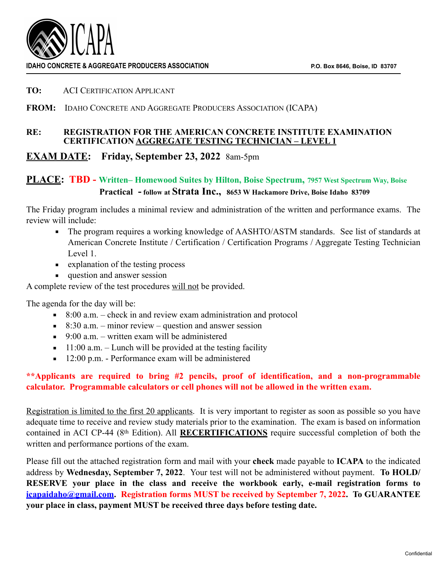

#### **TO:** ACI CERTIFICATION APPLICANT

### **FROM:** IDAHO CONCRETE AND AGGREGATE PRODUCERS ASSOCIATION (ICAPA)

#### **RE: REGISTRATION FOR THE AMERICAN CONCRETE INSTITUTE EXAMINATION CERTIFICATION AGGREGATE TESTING TECHNICIAN – LEVEL 1**

## **EXAM DATE: Friday, September 23, 2022** 8am-5pm

# **PLACE: TBD - Written– Homewood Suites by Hilton, Boise Spectrum, 7957 West Spectrum Way, Boise Practical - follow at Strata Inc., 8653 W Hackamore Drive, Boise Idaho 83709**

The Friday program includes a minimal review and administration of the written and performance exams. The review will include:

- The program requires a working knowledge of AASHTO/ASTM standards. See list of standards at American Concrete Institute / Certification / Certification Programs / Aggregate Testing Technician Level 1.
- explanation of the testing process
- **question and answer session**

A complete review of the test procedures will not be provided.

The agenda for the day will be:

- $\blacksquare$  8:00 a.m. check in and review exam administration and protocol
- $\blacksquare$  8:30 a.m. minor review question and answer session
- $\blacksquare$  9:00 a.m. written exam will be administered
- $\blacksquare$  11:00 a.m. Lunch will be provided at the testing facility
- 12:00 p.m. Performance exam will be administered

### **\*\*Applicants are required to bring #2 pencils, proof of identification, and a non-programmable calculator. Programmable calculators or cell phones will not be allowed in the written exam.**

Registration is limited to the first 20 applicants. It is very important to register as soon as possible so you have adequate time to receive and review study materials prior to the examination. The exam is based on information contained in ACI CP-44 (8th Edition). All **RECERTIFICATIONS** require successful completion of both the written and performance portions of the exam.

Please fill out the attached registration form and mail with your **check** made payable to **ICAPA** to the indicated address by **Wednesday, September 7, 2022**. Your test will not be administered without payment. **To HOLD/ RESERVE your place in the class and receive the workbook early, e-mail registration forms to [icapaidaho@gmail.com](mailto:icapaidaho@gmail.com). Registration forms MUST be received by September 7, 2022. To GUARANTEE your place in class, payment MUST be received three days before testing date.**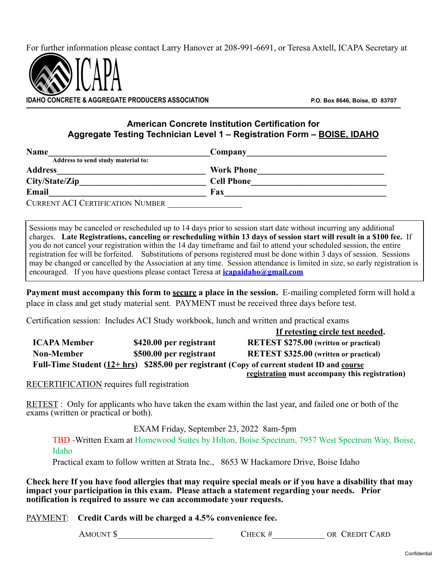For further information please contact Larry Hanover at 208-991-6691, or Teresa Axtell, ICAPA Secretary at



**IDEAGREGATE PRODUCERS ASSOCIATION P.O. Box 8646, Boise, ID 83707** 

## **American Concrete Institution Certification for Aggregate Testing Technician Level 1 – Registration Form – BOISE, IDAHO**

| <b>Name</b>                             | Company           |
|-----------------------------------------|-------------------|
| Address to send study material to:      |                   |
| <b>Address</b>                          | <b>Work Phone</b> |
| City/State/Zip                          | <b>Cell Phone</b> |
| Email                                   | Fax               |
| <b>CURRENT ACI CERTIFICATION NUMBER</b> |                   |

Sessions may be canceled or rescheduled up to 14 days prior to session start date without incurring any additional charges. **Late Registrations, canceling or rescheduling within 13 days of session start will result in a \$100 fee.** If you do not cancel your registration within the 14 day timeframe and fail to attend your scheduled session, the entire registration fee will be forfeited. Substitutions of persons registered must be done within 3 days of session. Sessions may be changed or cancelled by the Association at any time. Session attendance is limited in size, so early registration is encouraged. If you have questions please contact Teresa at **[icapaidaho@gmail.com](mailto:icapaidaho@gmail.com)**

**Payment must accompany this form to secure a place in the session.** E-mailing completed form will hold a place in class and get study material sent. PAYMENT must be received three days before test.

Certification session: Includes ACI Study workbook, lunch and written and practical exams

|                                                                                              |                         | If retesting circle test needed.               |  |  |
|----------------------------------------------------------------------------------------------|-------------------------|------------------------------------------------|--|--|
| <b>ICAPA Member</b>                                                                          | \$420.00 per registrant | <b>RETEST \$275.00</b> (written or practical)  |  |  |
| <b>Non-Member</b>                                                                            | \$500.00 per registrant | <b>RETEST \$325.00</b> (written or practical)  |  |  |
| Full-Time Student $(12 + hr)$ \$285.00 per registrant (Copy of current student ID and course |                         |                                                |  |  |
|                                                                                              |                         | registration must accompany this registration) |  |  |

RECERTIFICATION requires full registration

RETEST : Only for applicants who have taken the exam within the last year, and failed one or both of the exams (written or practical or both).

EXAM Friday, September 23, 2022 8am-5pm

TBD -Written Exam at Homewood Suites by Hilton, Boise Spectrum, 7957 West Spectrum Way, Boise, Idaho

Practical exam to follow written at Strata Inc., 8653 W Hackamore Drive, Boise Idaho

**Check here If you have food allergies that may require special meals or if you have a disability that may impact your participation in this exam. Please attach a statement regarding your needs. Prior notification is required to assure we can accommodate your requests.** 

PAYMENT: **Credit Cards will be charged a 4.5% convenience fee.** 

AMOUNT \$ CHECK # OR CREDIT CARD